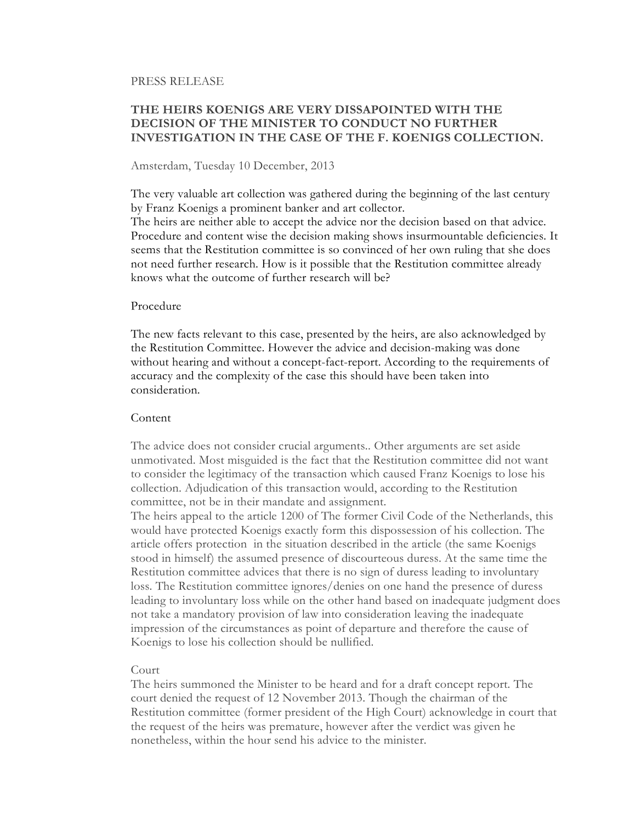#### PRESS RELEASE

# THE HEIRS KOENIGS ARE VERY DISSAPOINTED WITH THE DECISION OF THE MINISTER TO CONDUCT NO FURTHER INVESTIGATION IN THE CASE OF THE F. KOENIGS COLLECTION.

### Amsterdam, Tuesday 10 December, 2013

The very valuable art collection was gathered during the beginning of the last century by Franz Koenigs a prominent banker and art collector.

The heirs are neither able to accept the advice nor the decision based on that advice. Procedure and content wise the decision making shows insurmountable deficiencies. It seems that the Restitution committee is so convinced of her own ruling that she does not need further research. How is it possible that the Restitution committee already knows what the outcome of further research will be?

#### Procedure

The new facts relevant to this case, presented by the heirs, are also acknowledged by the Restitution Committee. However the advice and decision-making was done without hearing and without a concept-fact-report. According to the requirements of accuracy and the complexity of the case this should have been taken into consideration.

## Content

The advice does not consider crucial arguments.. Other arguments are set aside unmotivated. Most misguided is the fact that the Restitution committee did not want to consider the legitimacy of the transaction which caused Franz Koenigs to lose his collection. Adjudication of this transaction would, according to the Restitution committee, not be in their mandate and assignment.

The heirs appeal to the article 1200 of The former Civil Code of the Netherlands, this would have protected Koenigs exactly form this dispossession of his collection. The article offers protection in the situation described in the article (the same Koenigs stood in himself) the assumed presence of discourteous duress. At the same time the Restitution committee advices that there is no sign of duress leading to involuntary loss. The Restitution committee ignores/denies on one hand the presence of duress leading to involuntary loss while on the other hand based on inadequate judgment does not take a mandatory provision of law into consideration leaving the inadequate impression of the circumstances as point of departure and therefore the cause of Koenigs to lose his collection should be nullified.

#### Court

The heirs summoned the Minister to be heard and for a draft concept report. The court denied the request of 12 November 2013. Though the chairman of the Restitution committee (former president of the High Court) acknowledge in court that the request of the heirs was premature, however after the verdict was given he nonetheless, within the hour send his advice to the minister.